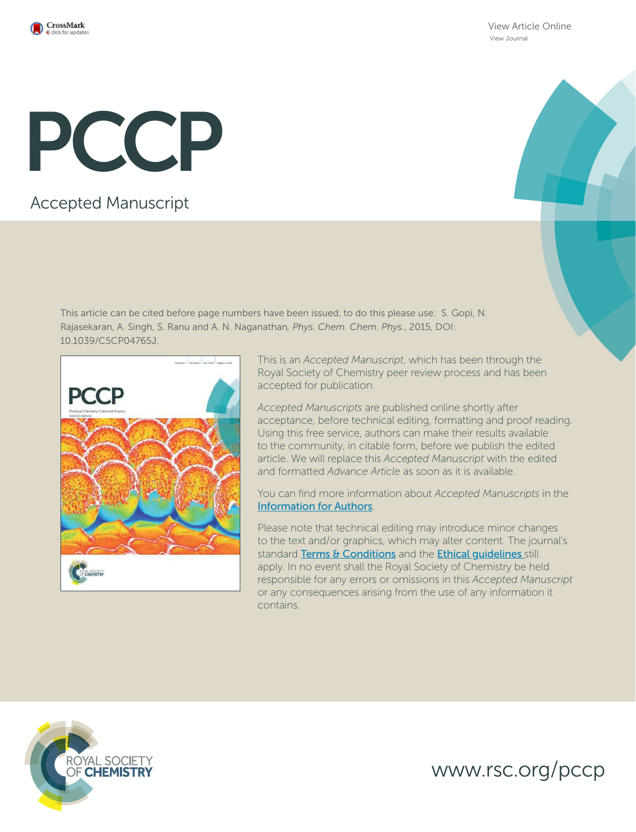

View Article Online View Journal

# PCCP

## Accepted Manuscript

This article can be cited before page numbers have been issued, to do this please use: S. Gopi, N. Rajasekaran, A. Singh, S. Ranu and A. N. Naganathan*, Phys. Chem. Chem. Phys.*, 2015, DOI: 10.1039/C5CP04765J.



This is an *Accepted Manuscript*, which has been through the Royal Society of Chemistry peer review process and has been accepted for publication.

*Accepted Manuscripts* are published online shortly after acceptance, before technical editing, formatting and proof reading. Using this free service, authors can make their results available to the community, in citable form, before we publish the edited article. We will replace this *Accepted Manuscript* with the edited and formatted *Advance Article* as soon as it is available.

You can find more information about *Accepted Manuscripts* in the Information for Authors.

Please note that technical editing may introduce minor changes to the text and/or graphics, which may alter content. The journal's standard Terms & Conditions and the Ethical quidelines still apply. In no event shall the Royal Society of Chemistry be held responsible for any errors or omissions in this *Accepted Manuscript* or any consequences arising from the use of any information it contains.



www.rsc.org/pccp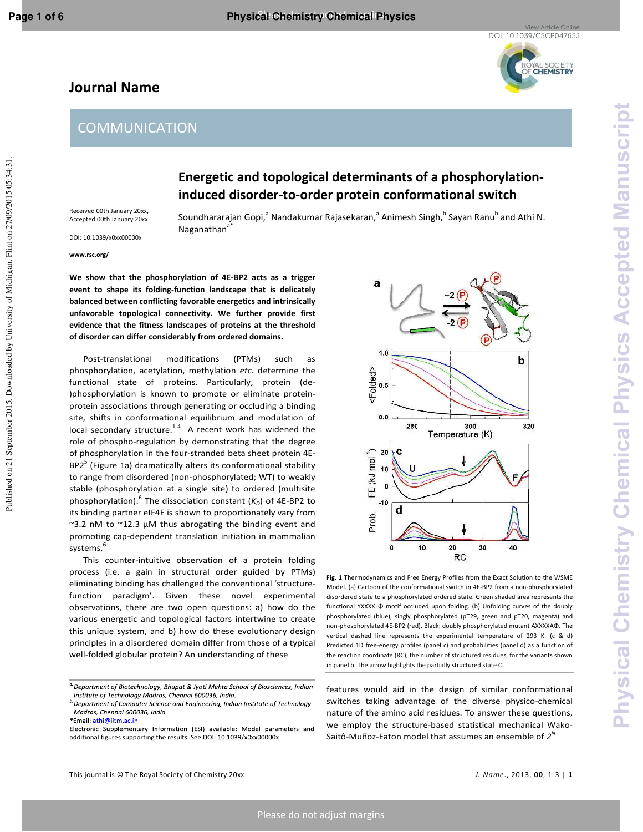## YAL SOCIETY<br>**CHEMISTRY**

## **Journal Name**

## **COMMUNICATION**

## **Energetic and topological determinants of a phosphorylationinduced disorder-to-order protein conformational switch**

Received 00th January 20xx, Accepted 00th January 20xx DOI: 10.1039/x0xx00000x

Soundhararajan Gopi,<sup>a</sup> Nandakumar Rajasekaran,<sup>a</sup> Animesh Singh,<sup>b</sup> Sayan Ranu<sup>b</sup> and Athi N. Naganathan<sup>a</sup>

**www.rsc.org/** 

**We show that the phosphorylation of 4E-BP2 acts as a trigger event to shape its folding-function landscape that is delicately balanced between conflicting favorable energetics and intrinsically unfavorable topological connectivity. We further provide first evidence that the fitness landscapes of proteins at the threshold of disorder can differ considerably from ordered domains.** 

 Post-translational modifications (PTMs) such as phosphorylation, acetylation, methylation *etc.* determine the functional state of proteins. Particularly, protein (de- )phosphorylation is known to promote or eliminate proteinprotein associations through generating or occluding a binding site, shifts in conformational equilibrium and modulation of local secondary structure. $1.4$  A recent work has widened the role of phospho-regulation by demonstrating that the degree of phosphorylation in the four-stranded beta sheet protein 4E- $BP2<sup>5</sup>$  (Figure 1a) dramatically alters its conformational stability to range from disordered (non-phosphorylated; WT) to weakly stable (phosphorylation at a single site) to ordered (multisite phosphorylation).<sup>6</sup> The dissociation constant ( $K_D$ ) of 4E-BP2 to its binding partner eIF4E is shown to proportionately vary from  $\sim$ 3.2 nM to  $\sim$ 12.3  $\mu$ M thus abrogating the binding event and promoting cap-dependent translation initiation in mammalian systems.<sup>6</sup>

 This counter-intuitive observation of a protein folding process (i.e. a gain in structural order guided by PTMs) eliminating binding has challenged the conventional 'structurefunction paradigm'. Given these novel experimental observations, there are two open questions: a) how do the various energetic and topological factors intertwine to create this unique system, and b) how do these evolutionary design principles in a disordered domain differ from those of a typical well-folded globular protein? An understanding of these



**Fig. 1** Thermodynamics and Free Energy Profiles from the Exact Solution to the WSME Model. (a) Cartoon of the conformational switch in 4E-BP2 from a non-phosphorylated disordered state to a phosphorylated ordered state. Green shaded area represents the functional YXXXXLΦ motif occluded upon folding. (b) Unfolding curves of the doubly phosphorylated (blue), singly phosphorylated (pT29, green and pT20, magenta) and non-phosphorylated 4E-BP2 (red). Black: doubly phosphorylated mutant AXXXXAΦ. The vertical dashed line represents the experimental temperature of 293 K. (c & d) Predicted 1D free-energy profiles (panel c) and probabilities (panel d) as a function of the reaction coordinate (RC), the number of structured residues, for the variants shown in panel b. The arrow highlights the partially structured state C.

features would aid in the design of similar conformational switches taking advantage of the diverse physico-chemical nature of the amino acid residues. To answer these questions, we employ the structure-based statistical mechanical Wako-Saitô-Muñoz-Eaton model that assumes an ensemble of  $2^N$ 

<sup>&</sup>lt;sup>a</sup> Department of Biotechnology, Bhupat & Jyoti Mehta School of Biosciences, Indian Institute of Technology Madras, Chennai 600036, India.

<sup>&</sup>lt;sup>b.</sup> Department of Computer Science and Engineering, Indian Institute of Technology Madras, Chennai 600036, India.

Email: athi@iitm.a

Electronic Supplementary Information (ESI) available: Model parameters and additional figures supporting the results. See DOI: 10.1039/x0xx00000x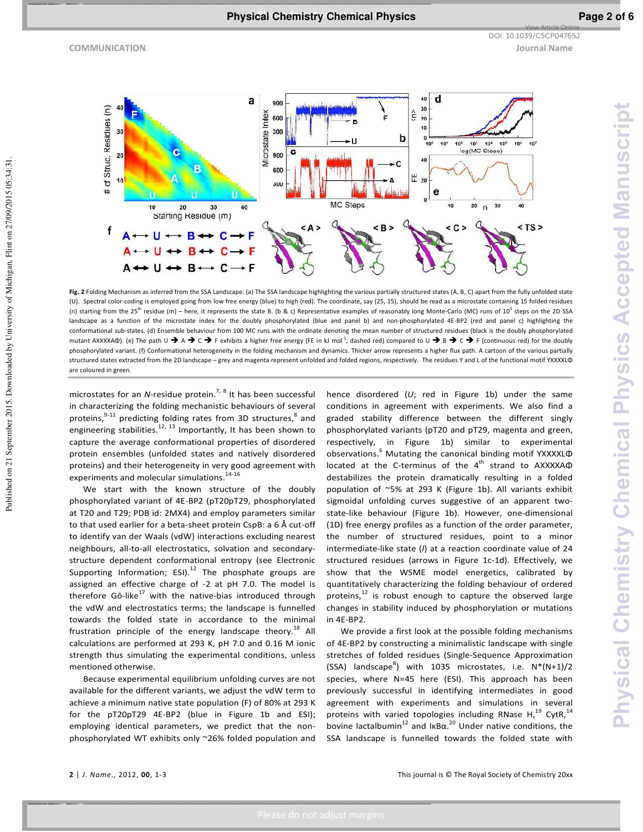Published on 21 September 2015. Downloaded by University of Michigan, Flint on 27/09/2015 05:34:31.

Published on 21 September 2015. Downloaded by University of Michigan, Flint on 27/09/2015 05:34:31.

**COMMUNICATION Journal Name** DOI: 10.1039/C5CP04765J

View Article Online



**Fig. 2** Folding Mechanism as inferred from the SSA Landscape. (a) The SSA landscape highlighting the various partially structured states (A, B, C) apart from the fully unfolded state (U). Spectral color-coding is employed going from low free energy (blue) to high (red). The coordinate, say (25, 15), should be read as a microstate containing 15 folded residues (n) starting from the 25<sup>th</sup> residue (m) – here, it represents the state B. (b & c) Representative examples of reasonably long Monte-Carlo (MC) runs of 10<sup>5</sup> steps on the 2D SSA landscape as a function of the microstate index for the doubly phosphorylated (blue and panel b) and non-phosphorylated 4E-BP2 (red and panel c) highlighting the conformational sub-states. (d) Ensemble behaviour from 100 MC runs with the ordinate denoting the mean number of structured residues (black is the doubly phosphorylated mutant AXXXXAΦ). (e) The path U  $\rightarrow$  A  $\rightarrow$  C  $\rightarrow$  F exhibits a higher free energy (FE in kJ mol<sup>-1</sup>; dashed red) compared to U  $\rightarrow$  B  $\rightarrow$  C  $\rightarrow$  F (continuous red) for the doubly phosphorylated variant. (f) Conformational heterogeneity in the folding mechanism and dynamics. Thicker arrow represents a higher flux path. A cartoon of the various partially structured states extracted from the 2D landscape – grey and magenta represent unfolded and folded regions, respectively. The residues Y and L of the functional motif YXXXXLΦ are coloured in green.

microstates for an *N*-residue protein.<sup>7, 8</sup> It has been successful in characterizing the folding mechanistic behaviours of several proteins,  $9-11$  predicting folding rates from 3D structures,  $8$  and engineering stabilities.<sup>12, 13</sup> Importantly, It has been shown to capture the average conformational properties of disordered protein ensembles (unfolded states and natively disordered proteins) and their heterogeneity in very good agreement with experiments and molecular simulations.<sup>14-16</sup>

 We start with the known structure of the doubly phosphorylated variant of 4E-BP2 (pT20pT29, phosphorylated at T20 and T29; PDB id: 2MX4) and employ parameters similar to that used earlier for a beta-sheet protein CspB: a 6 Å cut-off to identify van der Waals (vdW) interactions excluding nearest neighbours, all-to-all electrostatics, solvation and secondarystructure dependent conformational entropy (see Electronic Supporting Information; ESI).<sup>12</sup> The phosphate groups are assigned an effective charge of -2 at pH 7.0. The model is therefore  $G\overline{o}$ -like<sup>17</sup> with the native-bias introduced through the vdW and electrostatics terms; the landscape is funnelled towards the folded state in accordance to the minimal frustration principle of the energy landscape theory.<sup>18</sup> All calculations are performed at 293 K, pH 7.0 and 0.16 M ionic strength thus simulating the experimental conditions, unless mentioned otherwise.

 Because experimental equilibrium unfolding curves are not available for the different variants, we adjust the vdW term to achieve a minimum native state population (F) of 80% at 293 K for the pT20pT29 4E-BP2 (blue in Figure 1b and ESI); employing identical parameters, we predict that the nonphosphorylated WT exhibits only ~26% folded population and hence disordered (*U*; red in Figure 1b) under the same conditions in agreement with experiments. We also find a graded stability difference between the different singly phosphorylated variants (pT20 and pT29, magenta and green, respectively, in Figure 1b) similar to experimental observations.<sup>6</sup> Mutating the canonical binding motif YXXXXLΦ located at the C-terminus of the 4<sup>th</sup> strand to AXXXXAΦ destabilizes the protein dramatically resulting in a folded population of ~5% at 293 K (Figure 1b). All variants exhibit sigmoidal unfolding curves suggestive of an apparent twostate-like behaviour (Figure 1b). However, one-dimensional (1D) free energy profiles as a function of the order parameter, the number of structured residues, point to a minor intermediate-like state (*I*) at a reaction coordinate value of 24 structured residues (arrows in Figure 1c-1d). Effectively, we show that the WSME model energetics, calibrated by quantitatively characterizing the folding behaviour of ordered proteins, $12$  is robust enough to capture the observed large changes in stability induced by phosphorylation or mutations in 4E-BP2.

 We provide a first look at the possible folding mechanisms of 4E-BP2 by constructing a minimalistic landscape with single stretches of folded residues (Single-Sequence Approximation (SSA) landscape<sup>8</sup>) with 1035 microstates, i.e.  $N^*(N+1)/2$ species, where N=45 here (ESI). This approach has been previously successful in identifying intermediates in good agreement with experiments and simulations in several proteins with varied topologies including RNase  $H,^{19}$  CytR,  $^{14}$ bovine lactalbumin<sup>12</sup> and IKB $\alpha$ <sup>20</sup> Under native conditions, the SSA landscape is funnelled towards the folded state with

**2** | *J. Name*., 2012, **00**, 1-3 This journal is © The Royal Society of Chemistry 20xx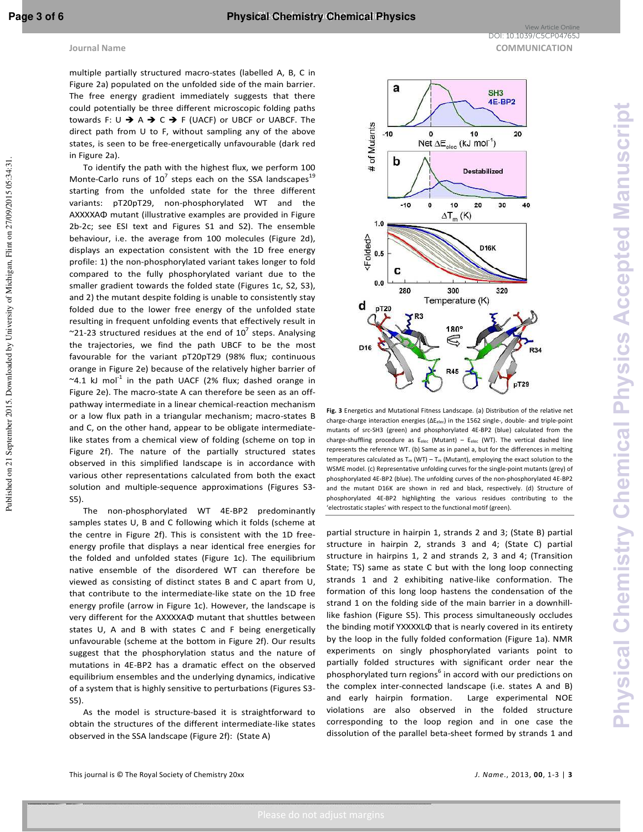Published on 21 September 2015. Downloaded by University of Michigan, Flint on 27/09/2015 05:34:31.

Published on 21 September 2015. Downloaded by University of Michigan, Flint on 27/09/2015 05:34:31.

a

multiple partially structured macro-states (labelled A, B, C in Figure 2a) populated on the unfolded side of the main barrier. The free energy gradient immediately suggests that there could potentially be three different microscopic folding paths towards F: U  $\rightarrow$  A  $\rightarrow$  C  $\rightarrow$  F (UACF) or UBCF or UABCF. The direct path from U to F, without sampling any of the above states, is seen to be free-energetically unfavourable (dark red in Figure 2a).

 To identify the path with the highest flux, we perform 100 Monte-Carlo runs of  $10^7$  steps each on the SSA landscapes<sup>19</sup> starting from the unfolded state for the three different variants: pT20pT29, non-phosphorylated WT and the AXXXXAΦ mutant (illustrative examples are provided in Figure 2b-2c; see ESI text and Figures S1 and S2). The ensemble behaviour, i.e. the average from 100 molecules (Figure 2d), displays an expectation consistent with the 1D free energy profile: 1) the non-phosphorylated variant takes longer to fold compared to the fully phosphorylated variant due to the smaller gradient towards the folded state (Figures 1c, S2, S3), and 2) the mutant despite folding is unable to consistently stay folded due to the lower free energy of the unfolded state resulting in frequent unfolding events that effectively result in  $\sim$ 21-23 structured residues at the end of 10<sup>7</sup> steps. Analysing the trajectories, we find the path UBCF to be the most favourable for the variant pT20pT29 (98% flux; continuous orange in Figure 2e) because of the relatively higher barrier of  $\sim$ 4.1 kJ mol<sup>-1</sup> in the path UACF (2% flux; dashed orange in Figure 2e). The macro-state A can therefore be seen as an offpathway intermediate in a linear chemical-reaction mechanism or a low flux path in a triangular mechanism; macro-states B and C, on the other hand, appear to be obligate intermediatelike states from a chemical view of folding (scheme on top in Figure 2f). The nature of the partially structured states observed in this simplified landscape is in accordance with various other representations calculated from both the exact solution and multiple-sequence approximations (Figures S3- S5).

 The non-phosphorylated WT 4E-BP2 predominantly samples states U, B and C following which it folds (scheme at the centre in Figure 2f). This is consistent with the 1D freeenergy profile that displays a near identical free energies for the folded and unfolded states (Figure 1c). The equilibrium native ensemble of the disordered WT can therefore be viewed as consisting of distinct states B and C apart from U, that contribute to the intermediate-like state on the 1D free energy profile (arrow in Figure 1c). However, the landscape is very different for the AXXXXAΦ mutant that shuttles between states U, A and B with states C and F being energetically unfavourable (scheme at the bottom in Figure 2f). Our results suggest that the phosphorylation status and the nature of mutations in 4E-BP2 has a dramatic effect on the observed equilibrium ensembles and the underlying dynamics, indicative of a system that is highly sensitive to perturbations (Figures S3- S5).

 As the model is structure-based it is straightforward to obtain the structures of the different intermediate-like states observed in the SSA landscape (Figure 2f): (State A)



 $SH3$ **4E-BP2** 





**Fig. 3** Energetics and Mutational Fitness Landscape. (a) Distribution of the relative net charge-charge interaction energies (ΔE<sub>elec</sub>) in the 1562 single-, double- and triple-point mutants of src-SH3 (green) and phosphorylated 4E-BP2 (blue) calculated from the charge-shuffling procedure as  $E_{elec}$  (Mutant) –  $E_{elec}$  (WT). The vertical dashed line represents the reference WT. (b) Same as in panel a, but for the differences in melting temperatures calculated as  $T_m (WT) - T_m (Mutant)$ , employing the exact solution to the WSME model. (c) Representative unfolding curves for the single-point mutants (grey) of phosphorylated 4E-BP2 (blue). The unfolding curves of the non-phosphorylated 4E-BP2 and the mutant D16K are shown in red and black, respectively. (d) Structure of phosphorylated 4E-BP2 highlighting the various residues contributing to the 'electrostatic staples' with respect to the functional motif (green).

partial structure in hairpin 1, strands 2 and 3; (State B) partial structure in hairpin 2, strands 3 and 4; (State C) partial structure in hairpins 1, 2 and strands 2, 3 and 4; (Transition State; TS) same as state C but with the long loop connecting strands 1 and 2 exhibiting native-like conformation. The formation of this long loop hastens the condensation of the strand 1 on the folding side of the main barrier in a downhilllike fashion (Figure S5). This process simultaneously occludes the binding motif YXXXXLΦ that is nearly covered in its entirety by the loop in the fully folded conformation (Figure 1a). NMR experiments on singly phosphorylated variants point to partially folded structures with significant order near the phosphorylated turn regions<sup>6</sup> in accord with our predictions on the complex inter-connected landscape (i.e. states A and B) and early hairpin formation. Large experimental NOE violations are also observed in the folded structure corresponding to the loop region and in one case the dissolution of the parallel beta-sheet formed by strands 1 and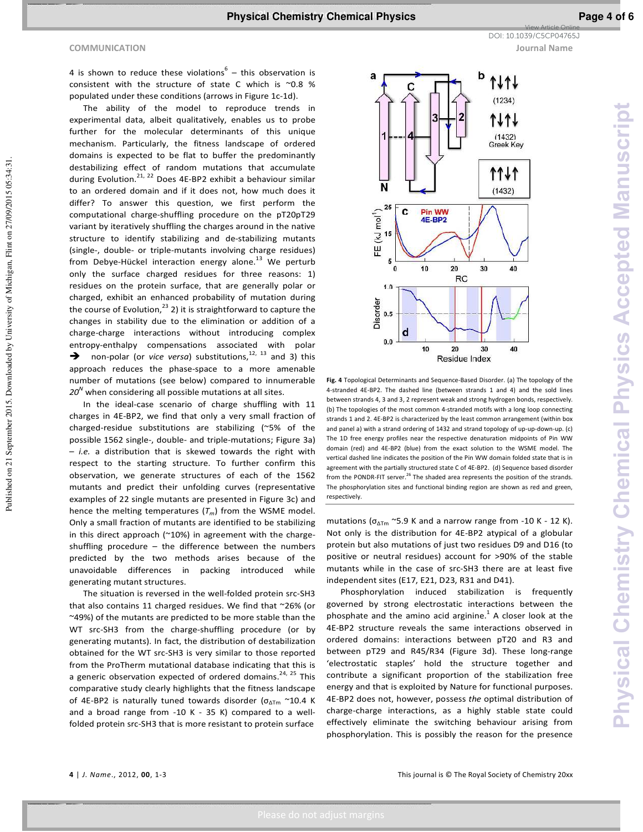Published on 21 September 2015. Downloaded by University of Michigan, Flint on 27/09/2015 05:34:31.

Published on 21 September 2015. Downloaded by University of Michigan, Flint on 27/09/2015 05:34:31.

4 is shown to reduce these violations $^6$  – this observation is consistent with the structure of state C which is ~0.8 % populated under these conditions (arrows in Figure 1c-1d).

 The ability of the model to reproduce trends in experimental data, albeit qualitatively, enables us to probe further for the molecular determinants of this unique mechanism. Particularly, the fitness landscape of ordered domains is expected to be flat to buffer the predominantly destabilizing effect of random mutations that accumulate during Evolution.<sup>21, 22</sup> Does 4E-BP2 exhibit a behaviour similar to an ordered domain and if it does not, how much does it differ? To answer this question, we first perform the computational charge-shuffling procedure on the pT20pT29 variant by iteratively shuffling the charges around in the native structure to identify stabilizing and de-stabilizing mutants (single-, double- or triple-mutants involving charge residues) from Debye-Hückel interaction energy alone.<sup>13</sup> We perturb only the surface charged residues for three reasons: 1) residues on the protein surface, that are generally polar or charged, exhibit an enhanced probability of mutation during the course of Evolution, $^{23}$  2) it is straightforward to capture the changes in stability due to the elimination or addition of a charge-charge interactions without introducing complex entropy-enthalpy compensations associated with polar  $\rightarrow$  non-polar (or *vice versa*) substitutions,<sup>12, 13</sup> and 3) this approach reduces the phase-space to a more amenable number of mutations (see below) compared to innumerable *20<sup>N</sup>* when considering all possible mutations at all sites.

 In the ideal-case scenario of charge shuffling with 11 charges in 4E-BP2, we find that only a very small fraction of charged-residue substitutions are stabilizing (~5% of the possible 1562 single-, double- and triple-mutations; Figure 3a) – *i.e.* a distribution that is skewed towards the right with respect to the starting structure. To further confirm this observation, we generate structures of each of the 1562 mutants and predict their unfolding curves (representative examples of 22 single mutants are presented in Figure 3c) and hence the melting temperatures (*Tm*) from the WSME model. Only a small fraction of mutants are identified to be stabilizing in this direct approach ( $\approx$ 10%) in agreement with the chargeshuffling procedure – the difference between the numbers predicted by the two methods arises because of the unavoidable differences in packing introduced while generating mutant structures.

 The situation is reversed in the well-folded protein src-SH3 that also contains 11 charged residues. We find that ~26% (or ~49%) of the mutants are predicted to be more stable than the WT src-SH3 from the charge-shuffling procedure (or by generating mutants). In fact, the distribution of destabilization obtained for the WT src-SH3 is very similar to those reported from the ProTherm mutational database indicating that this is a generic observation expected of ordered domains.<sup>24, 25</sup> This comparative study clearly highlights that the fitness landscape of 4E-BP2 is naturally tuned towards disorder ( $\sigma_{\text{ATm}} \sim 10.4$  K and a broad range from -10 K - 35 K) compared to a wellfolded protein src-SH3 that is more resistant to protein surface



**Fig. 4** Topological Determinants and Sequence-Based Disorder. (a) The topology of the 4-stranded 4E-BP2. The dashed line (between strands 1 and 4) and the sold lines between strands 4, 3 and 3, 2 represent weak and strong hydrogen bonds, respectively. (b) The topologies of the most common 4-stranded motifs with a long loop connecting strands 1 and 2. 4E-BP2 is characterized by the least common arrangement (within box and panel a) with a strand ordering of 1432 and strand topology of up-up-down-up. (c) The 1D free energy profiles near the respective denaturation midpoints of Pin WW domain (red) and 4E-BP2 (blue) from the exact solution to the WSME model. The vertical dashed line indicates the position of the Pin WW domain folded state that is in agreement with the partially structured state C of 4E-BP2. (d) Sequence based disorder from the PONDR-FIT server. $^{26}$  The shaded area represents the position of the strands. The phosphorylation sites and functional binding region are shown as red and green, respectively.

mutations ( $\sigma_{\Delta Tm}$  ~5.9 K and a narrow range from -10 K - 12 K). Not only is the distribution for 4E-BP2 atypical of a globular protein but also mutations of just two residues D9 and D16 (to positive or neutral residues) account for >90% of the stable mutants while in the case of src-SH3 there are at least five independent sites (E17, E21, D23, R31 and D41).

 Phosphorylation induced stabilization is frequently governed by strong electrostatic interactions between the phosphate and the amino acid arginine. $^{1}$  A closer look at the 4E-BP2 structure reveals the same interactions observed in ordered domains: interactions between pT20 and R3 and between pT29 and R45/R34 (Figure 3d). These long-range 'electrostatic staples' hold the structure together and contribute a significant proportion of the stabilization free energy and that is exploited by Nature for functional purposes. 4E-BP2 does not, however, possess *the* optimal distribution of charge-charge interactions, as a highly stable state could effectively eliminate the switching behaviour arising from phosphorylation. This is possibly the reason for the presence

View Article Online DOI: 10.1039/C5CP04765J

**4** | *J. Name*., 2012, **00**, 1-3 This journal is © The Royal Society of Chemistry 20xx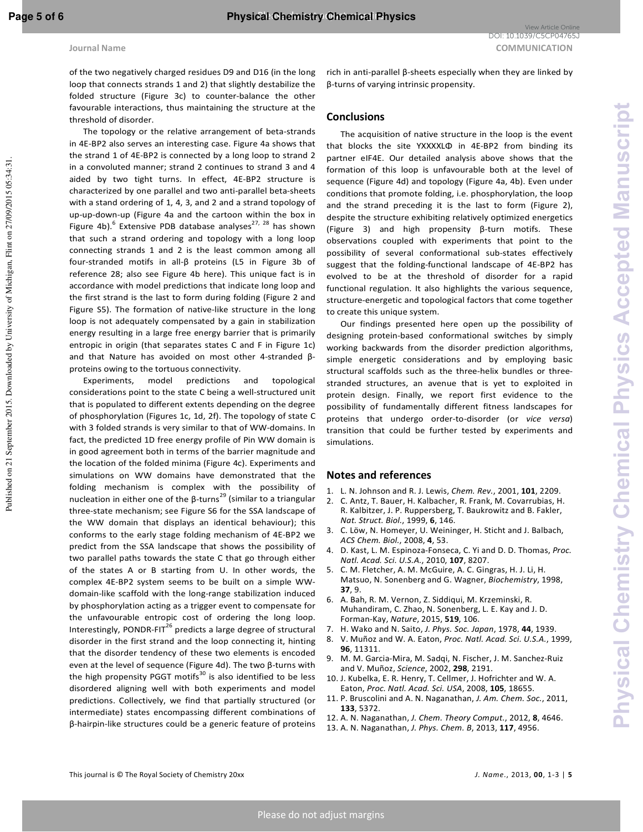**Physical Chemistry Chemical Physics Accepted Manuscript**

hysical Chemistry Chemical Physics Accepted Manuscrip

of the two negatively charged residues D9 and D16 (in the long loop that connects strands 1 and 2) that slightly destabilize the folded structure (Figure 3c) to counter-balance the other favourable interactions, thus maintaining the structure at the threshold of disorder.

 The topology or the relative arrangement of beta-strands in 4E-BP2 also serves an interesting case. Figure 4a shows that the strand 1 of 4E-BP2 is connected by a long loop to strand 2 in a convoluted manner; strand 2 continues to strand 3 and 4 aided by two tight turns. In effect, 4E-BP2 structure is characterized by one parallel and two anti-parallel beta-sheets with a stand ordering of 1, 4, 3, and 2 and a strand topology of up-up-down-up (Figure 4a and the cartoon within the box in Figure 4b).<sup>6</sup> Extensive PDB database analyses<sup>27, 28</sup> has shown that such a strand ordering and topology with a long loop connecting strands 1 and 2 is the least common among all four-stranded motifs in all-β proteins (L5 in Figure 3b of reference 28; also see Figure 4b here). This unique fact is in accordance with model predictions that indicate long loop and the first strand is the last to form during folding (Figure 2 and Figure S5). The formation of native-like structure in the long loop is not adequately compensated by a gain in stabilization energy resulting in a large free energy barrier that is primarily entropic in origin (that separates states C and F in Figure 1c) and that Nature has avoided on most other 4-stranded βproteins owing to the tortuous connectivity.

 Experiments, model predictions and topological considerations point to the state C being a well-structured unit that is populated to different extents depending on the degree of phosphorylation (Figures 1c, 1d, 2f). The topology of state C with 3 folded strands is very similar to that of WW-domains. In fact, the predicted 1D free energy profile of Pin WW domain is in good agreement both in terms of the barrier magnitude and the location of the folded minima (Figure 4c). Experiments and simulations on WW domains have demonstrated that the folding mechanism is complex with the possibility of nucleation in either one of the β-turns<sup>29</sup> (similar to a triangular three-state mechanism; see Figure S6 for the SSA landscape of the WW domain that displays an identical behaviour); this conforms to the early stage folding mechanism of 4E-BP2 we predict from the SSA landscape that shows the possibility of two parallel paths towards the state C that go through either of the states A or B starting from U. In other words, the complex 4E-BP2 system seems to be built on a simple WWdomain-like scaffold with the long-range stabilization induced by phosphorylation acting as a trigger event to compensate for the unfavourable entropic cost of ordering the long loop. Interestingly, PONDR-FIT<sup>26</sup> predicts a large degree of structural disorder in the first strand and the loop connecting it, hinting that the disorder tendency of these two elements is encoded even at the level of sequence (Figure 4d). The two β-turns with the high propensity PGGT motifs $30$  is also identified to be less disordered aligning well with both experiments and model predictions. Collectively, we find that partially structured (or intermediate) states encompassing different combinations of β-hairpin-like structures could be a generic feature of proteins

## **Conclusions**

 The acquisition of native structure in the loop is the event that blocks the site YXXXXLΦ in 4E-BP2 from binding its partner eIF4E. Our detailed analysis above shows that the formation of this loop is unfavourable both at the level of sequence (Figure 4d) and topology (Figure 4a, 4b). Even under conditions that promote folding, i.e. phosphorylation, the loop and the strand preceding it is the last to form (Figure 2), despite the structure exhibiting relatively optimized energetics (Figure 3) and high propensity β-turn motifs. These observations coupled with experiments that point to the possibility of several conformational sub-states effectively suggest that the folding-functional landscape of 4E-BP2 has evolved to be at the threshold of disorder for a rapid functional regulation. It also highlights the various sequence, structure-energetic and topological factors that come together to create this unique system.

 Our findings presented here open up the possibility of designing protein-based conformational switches by simply working backwards from the disorder prediction algorithms, simple energetic considerations and by employing basic structural scaffolds such as the three-helix bundles or threestranded structures, an avenue that is yet to exploited in protein design. Finally, we report first evidence to the possibility of fundamentally different fitness landscapes for proteins that undergo order-to-disorder (or *vice versa*) transition that could be further tested by experiments and simulations.

## **Notes and references**

- 1. L. N. Johnson and R. J. Lewis, *Chem. Rev.*, 2001, **101**, 2209.
- 2. C. Antz, T. Bauer, H. Kalbacher, R. Frank, M. Covarrubias, H. R. Kalbitzer, J. P. Ruppersberg, T. Baukrowitz and B. Fakler, *Nat. Struct. Biol.*, 1999, **6**, 146.
- 3. C. Löw, N. Homeyer, U. Weininger, H. Sticht and J. Balbach, *ACS Chem. Biol.*, 2008, **4**, 53.
- 4. D. Kast, L. M. Espinoza-Fonseca, C. Yi and D. D. Thomas, *Proc. Natl. Acad. Sci. U.S.A.*, 2010, **107**, 8207.
- 5. C. M. Fletcher, A. M. McGuire, A. C. Gingras, H. J. Li, H. Matsuo, N. Sonenberg and G. Wagner, *Biochemistry*, 1998, **37**, 9.
- 6. A. Bah, R. M. Vernon, Z. Siddiqui, M. Krzeminski, R. Muhandiram, C. Zhao, N. Sonenberg, L. E. Kay and J. D. Forman-Kay, *Nature*, 2015, **519**, 106.
- 7. H. Wako and N. Saito, *J. Phys. Soc. Japan*, 1978, **44**, 1939.
- 8. V. Muñoz and W. A. Eaton, *Proc. Natl. Acad. Sci. U.S.A.*, 1999, **96**, 11311.
- 9. M. M. Garcia-Mira, M. Sadqi, N. Fischer, J. M. Sanchez-Ruiz and V. Muñoz, *Science*, 2002, **298**, 2191.
- 10. J. Kubelka, E. R. Henry, T. Cellmer, J. Hofrichter and W. A. Eaton, *Proc. Natl. Acad. Sci. USA*, 2008, **105**, 18655.
- 11. P. Bruscolini and A. N. Naganathan, *J. Am. Chem. Soc.*, 2011, **133**, 5372.
- 12. A. N. Naganathan, *J. Chem. Theory Comput.*, 2012, **8**, 4646.
- 13. A. N. Naganathan, *J. Phys. Chem. B*, 2013, **117**, 4956.